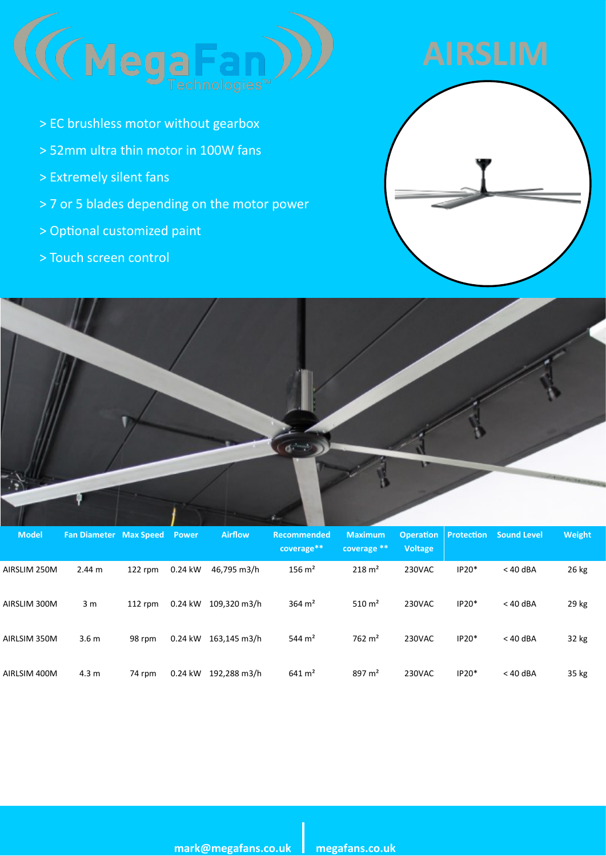

- > EC brushless motor without gearbox
- > 52mm ultra thin motor in 100W fans
- > Extremely silent fans
- > 7 or 5 blades depending on the motor power
- > Optional customized paint
- > Touch screen control





| <b>Model</b> | <b>Fan Diameter Max Speed Power</b> |           |           | <b>Airflow</b> | <b>Recommended</b><br>coverage** | <b>Maximum</b><br>coverage ** | <b>Voltage</b> |         | <b>Operation Protection Sound Level</b> | Weight |
|--------------|-------------------------------------|-----------|-----------|----------------|----------------------------------|-------------------------------|----------------|---------|-----------------------------------------|--------|
| AIRSLIM 250M | 2.44 m                              | $122$ rpm | $0.24$ kW | 46.795 m3/h    | $156 \text{ m}^2$                | $218 \text{ m}^2$             | 230VAC         | $IP20*$ | $<$ 40 dBA                              | 26 kg  |
| AIRSLIM 300M | 3 <sub>m</sub>                      | $112$ rpm | 0.24 kW   | 109.320 m3/h   | 364 $\,$ m <sup>2</sup>          | 510 $m2$                      | 230VAC         | $IP20*$ | $<$ 40 dBA                              | 29 kg  |
| AIRLSIM 350M | 3.6 <sub>m</sub>                    | 98 rpm    | 0.24 kW   | 163.145 m3/h   | 544 $m2$                         | $762 \text{ m}^2$             | 230VAC         | $IP20*$ | $<$ 40 dBA                              | 32 kg  |
| AIRLSIM 400M | 4.3 <sub>m</sub>                    | 74 rpm    | 0.24 kW   | 192.288 m3/h   | $641 \text{ m}^2$                | 897 $m2$                      | 230VAC         | $IP20*$ | $<$ 40 dBA                              | 35 kg  |